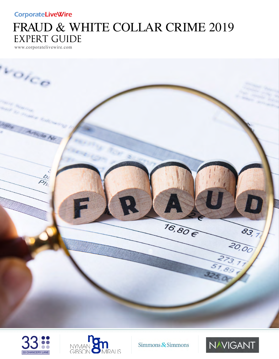### **CorporateLiveWire**

# FRAUD & WHITE COLLAR CRIME 2019 EXPERT GUIDE

www.corporatelivewire.com







Simmons & Simmons

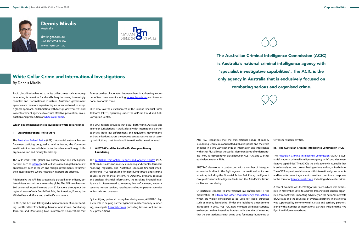

## Dennis Miralis

Australia

dm@ngm.com.au +61 02 9264 8884 www.ngm.com.au



focuses on the collaboration between them in addressing a number of key crime areas including [money laundering](https://ngm.com.au/money-laundering-lawyers/) and transnational economic crime.

2015 also saw the establishment of the Serious Financial Crime Taskforce (SFCT), operating under the AFP run Fraud and Anti-Corruption Centre.

The SFCT targets activities that occur both within Australia and in foreign jurisdictions. It works closely with international partner agencies, both law enforcement and regulators, governments and organisations across the globe to target abusive use of secrecy jurisdictions, trust fraud and international tax evasion fraud.

#### **II. AUSTRAC and the Asia/Pacific Group on Money Laundering**

The [Australian Transaction Reports and Analysis Centre](https://ngm.com.au/austrac-regulatory-approach/) (AUS-TRAC) is Australia's anti-money laundering and counter-terrorism financing regulator, and Australia's specialist financial intelligence unit (FIU) responsible for identifying threats and criminal abuses in the financial system. As AUSTRAC primarily receives and analyses financial information, the resulting financial intelligence is disseminated to revenue, law enforcement, national security, human services, regulatory and other partner agencies in Australia and overseas.

The **Australian Federal Police** (AFP) is Australia's national law enforcement policing body, tasked with enforcing the Commonwealth criminal law, which includes the offences of foreign bribery, tax evasion and money laundering.

> By identifying potential money laundering cases, AUSTRAC plays a vital role in helping partner agencies to detect money laundering, investigate [financial crimes](https://ngm.com.au/serious-financial-crime/) (including tax evasion) and secure prosecutions.

## White Collar Crime and International Investigations

By Dennis Miralis

Rapid globalisation has led to white collar crimes such as money laundering, tax evasion, fraud and bribery becoming increasingly complex and transnational in nature. Australian government agencies are therefore experiencing an increased need to adopt a global approach, collaborating with foreign governments and law enforcement agencies to ensure effective prevention, investigation and prosecution of [white collar crime](https://ngm.com.au/white-collar-corporate-crime-2/).

#### **Which government agencies investigate white collar crime?**

#### **I. Australian Federal Police (AFP)**

The **[Australian Criminal Intelligence Commission](https://ngm.com.au/money-laundering-lawyers/money-laundering-australian-crime-commission-investigations/)** (ACIC) is Australia's national criminal intelligence agency with 'specialist investigative capabilities'. The ACIC is the only agency in Australia that is exclusively focused on combating serious and organised crime. The ACIC frequently collaborates with international governments and law enforcement agencies to provide a coordinated response to the threat of [transnational crime,](https://ngm.com.au/international-and-transnational-criminal-law) including white collar crime.

The AFP works with global law enforcement and intelligence partners such as **Interpol** and Five Eyes, as well as global non-law enforcement such as the UN and foreign governments, to further their investigations where Australian interests are affected.

Additionally, the AFP has strategically placed liaison officers, police advisers and missions across the globe. The AFP now has over 300 personnel located in more than 52 locations throughout the regional areas of Asia, South East Asia, the Americas, Europe, the Middle East and Africa, and the Pacific catchment.

In 2015, the AFP and FBI signed a memorandum of understanding (MoU) called 'Combating Transnational Crime, Combating Terrorism and Developing Law Enforcement Cooperation' that AUSTRAC recognises that the transnational nature of money laundering requires a coordinated global response and therefore engages in a two-way exchange of information and intelligence with other FIUs all over the world. Memorandums of understanding ('MoU') are presently in place between AUSTRAC and 93 other equivalent national FIU's.

AUSTRAC also works in conjunction with a number of intergovernmental bodies in the fight against transnational white collar crime, including the Financial Action Task Force, the Egmont Group of Financial Intelligence Units and the Asia/Pacific Group on Money Laundering.

Of particular concern to international law enforcement is the proliferation of [Bitcoin and other cryptocurrency transactions](https://ngm.com.au/bitcoin-encryption/), which are widely considered to be used for illegal purposes such as money laundering. Under the legislative amendments introduced in 2017, AUSTRAC now monitors all digital currency exchanges within Australia's borders with the aim of ensuring that the transactions are not being used for money laundering or





terrorism-related activities.

#### **III. The Australian Criminal Intelligence Commission (ACIC)**

A recent example was the Vestigo Task Force, which was authorised in November 2016 to address transnational serious organised crime activities impacting adversely on the national interests of Australia and the countries of overseas partners. The task force was supported by commonwealth, state and territory partners, along with a number of international partners including the Five Eyes Law Enforcement Group.

The [Australian Criminal Intelligence Commission](https://ngm.com.au/money-laundering-lawyers/money-laundering-australian-crime-commission-investigations/) (ACIC) is Australia's national criminal intelligence agency with 'specialist investigative capabilities'. The ACIC is the only agency in Australia that is exclusively focused on combating serious and organised crime.